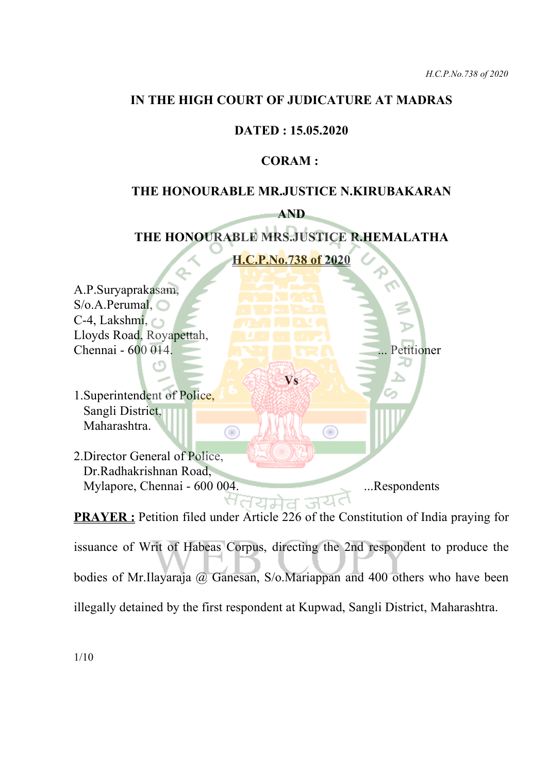#### **IN THE HIGH COURT OF JUDICATURE AT MADRAS**

### **DATED : 15.05.2020**

#### **CORAM :**

#### **THE HONOURABLE MR.JUSTICE N.KIRUBAKARAN**

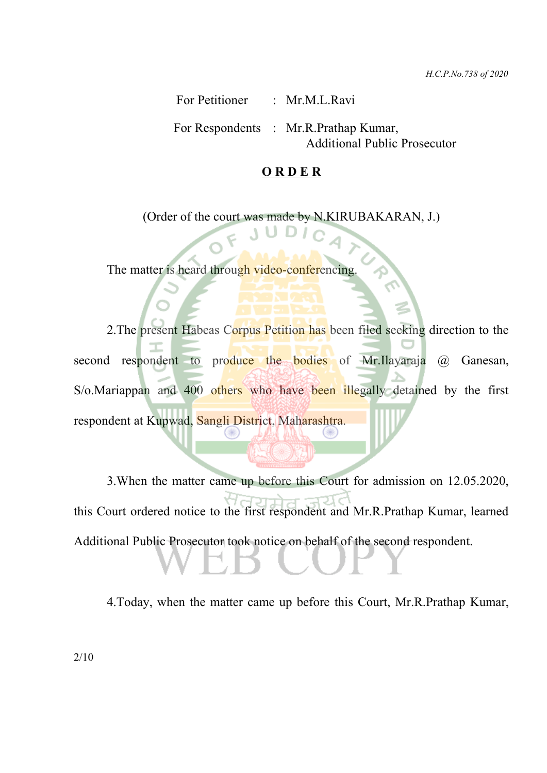*H.C.P.No.738 of 2020*

For Petitioner : Mr.M.L.Ravi

For Respondents : Mr.R.Prathap Kumar, Additional Public Prosecutor

#### **O R D E R**

(Order of the court was made by N.KIRUBAKARAN, J.)

The matter is heard through video-conferencing.

2.The present Habeas Corpus Petition has been filed seeking direction to the second respondent to produce the bodies of Mr.Ilayaraja @ Ganesan, S/o.Mariappan and 400 others who have been illegally detained by the first respondent at Kupwad, Sangli District, Maharashtra.

3.When the matter came up before this Court for admission on 12.05.2020, this Court ordered notice to the first respondent and Mr.R.Prathap Kumar, learned Additional Public Prosecutor took notice on behalf of the second respondent.

4.Today, when the matter came up before this Court, Mr.R.Prathap Kumar,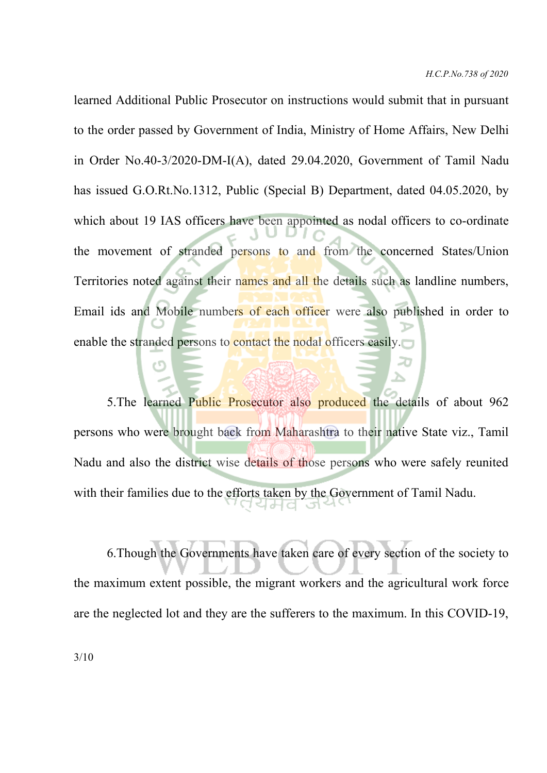learned Additional Public Prosecutor on instructions would submit that in pursuant to the order passed by Government of India, Ministry of Home Affairs, New Delhi in Order No.40-3/2020-DM-I(A), dated 29.04.2020, Government of Tamil Nadu has issued G.O.Rt.No.1312, Public (Special B) Department, dated 04.05.2020, by which about 19 IAS officers have been appointed as nodal officers to co-ordinate the movement of stranded persons to and from the concerned States/Union Territories noted against their names and all the details such as landline numbers, Email ids and Mobile numbers of each officer were also published in order to enable the stranded persons to contact the nodal officers easily.

5. The learned Public Prosecutor also produced the details of about 962 persons who were brought back from Maharashtra to their native State viz., Tamil Nadu and also the district wise details of those persons who were safely reunited with their families due to the efforts taken by the Government of Tamil Nadu. 서버디

6.Though the Governments have taken care of every section of the society to the maximum extent possible, the migrant workers and the agricultural work force are the neglected lot and they are the sufferers to the maximum. In this COVID-19,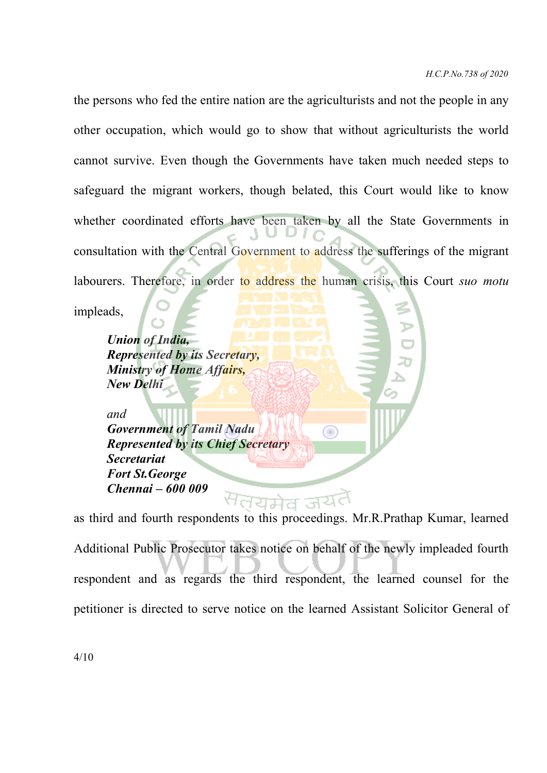the persons who fed the entire nation are the agriculturists and not the people in any other occupation, which would go to show that without agriculturists the world cannot survive. Even though the Governments have taken much needed steps to safeguard the migrant workers, though belated, this Court would like to know whether coordinated efforts have been taken by all the State Governments in consultation with the Central Government to address the sufferings of the migrant labourers. Therefore, in order to address the human crisis, this Court *suo motu*

impleads,

*Union of India, Represented by its Secretary, Ministry of Home Affairs, New Delhi*

*and Government of Tamil Nadu Represented by its Chief Secretary Secretariat Fort St.George Chennai – 600 009*

as third and fourth respondents to this proceedings. Mr.R.Prathap Kumar, learned Additional Public Prosecutor takes notice on behalf of the newly impleaded fourth respondent and as regards the third respondent, the learned counsel for the petitioner is directed to serve notice on the learned Assistant Solicitor General of

◉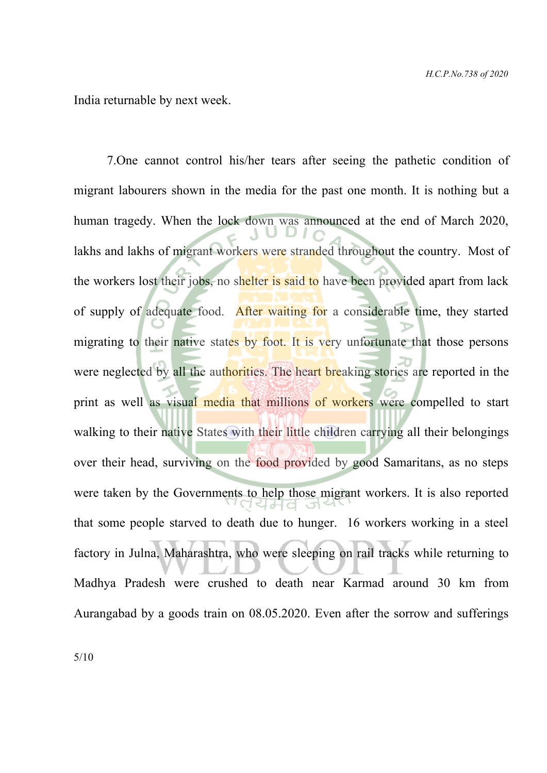India returnable by next week.

7.One cannot control his/her tears after seeing the pathetic condition of migrant labourers shown in the media for the past one month. It is nothing but a human tragedy. When the lock down was announced at the end of March 2020, lakhs and lakhs of migrant workers were stranded throughout the country. Most of the workers lost their jobs, no shelter is said to have been provided apart from lack of supply of adequate food. After waiting for a considerable time, they started migrating to their native states by foot. It is very unfortunate that those persons were neglected by all the authorities. The heart breaking stories are reported in the print as well as visual media that millions of workers were compelled to start walking to their native States with their little children carrying all their belongings over their head, surviving on the food provided by good Samaritans, as no steps were taken by the Governments to help those migrant workers. It is also reported that some people starved to death due to hunger. 16 workers working in a steel factory in Julna, Maharashtra, who were sleeping on rail tracks while returning to Madhya Pradesh were crushed to death near Karmad around 30 km from Aurangabad by a goods train on 08.05.2020. Even after the sorrow and sufferings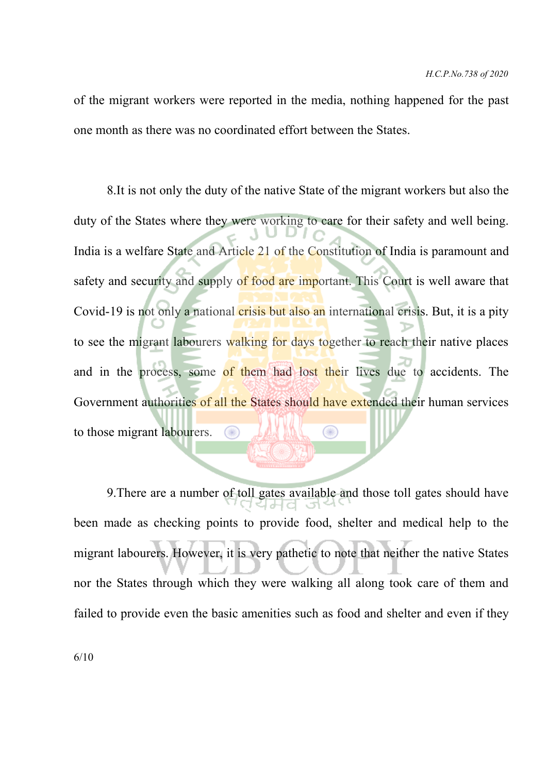of the migrant workers were reported in the media, nothing happened for the past one month as there was no coordinated effort between the States.

8.It is not only the duty of the native State of the migrant workers but also the duty of the States where they were working to care for their safety and well being. India is a welfare State and Article 21 of the Constitution of India is paramount and safety and security and supply of food are important. This Court is well aware that Covid-19 is not only a national crisis but also an international crisis. But, it is a pity to see the migrant labourers walking for days together to reach their native places and in the process, some of them had lost their lives due to accidents. The Government authorities of all the States should have extended their human services to those migrant labourers.

9.There are a number of toll gates available and those toll gates should have been made as checking points to provide food, shelter and medical help to the migrant labourers. However, it is very pathetic to note that neither the native States nor the States through which they were walking all along took care of them and failed to provide even the basic amenities such as food and shelter and even if they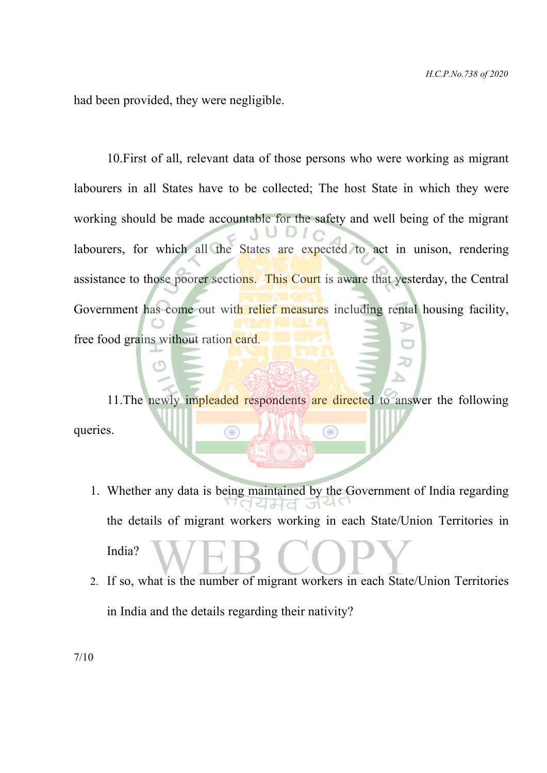had been provided, they were negligible.

10.First of all, relevant data of those persons who were working as migrant labourers in all States have to be collected; The host State in which they were working should be made accountable for the safety and well being of the migrant labourers, for which all the States are expected to act in unison, rendering assistance to those poorer sections. This Court is aware that yesterday, the Central Government has come out with relief measures including rental housing facility, free food grains without ration card.

11. The newly impleaded respondents are directed to answer the following queries. ⊙ 00

- 1. Whether any data is being maintained by the Government of India regarding ਬਮਰ the details of migrant workers working in each State/Union Territories in India?
- 2. If so, what is the number of migrant workers in each State/Union Territories in India and the details regarding their nativity?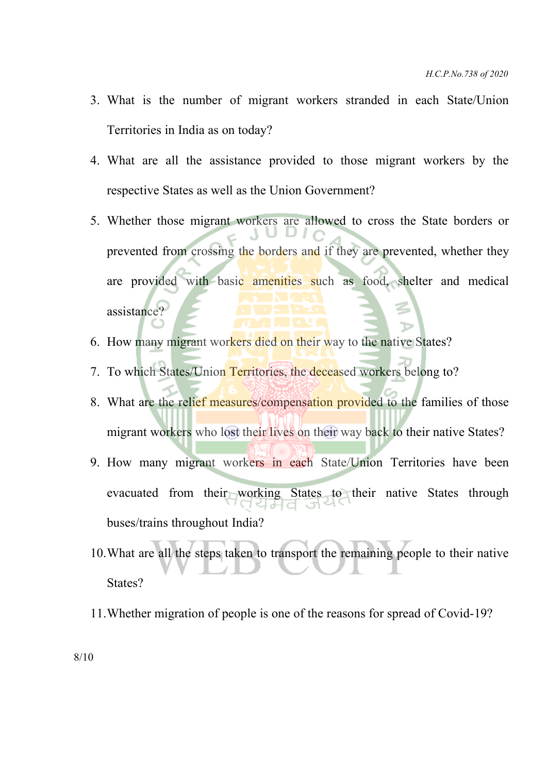- 3. What is the number of migrant workers stranded in each State/Union Territories in India as on today?
- 4. What are all the assistance provided to those migrant workers by the respective States as well as the Union Government?
- 5. Whether those migrant workers are allowed to cross the State borders or prevented from crossing the borders and if they are prevented, whether they are provided with basic amenities such as food, shelter and medical assistance?
- 6. How many migrant workers died on their way to the native States?
- 7. To which States/Union Territories, the deceased workers belong to?
- 8. What are the relief measures/compensation provided to the families of those migrant workers who lost their lives on their way back to their native States?
- 9. How many migrant workers in each State/Union Territories have been evacuated from their working States to their native States through buses/trains throughout India?
- 10.What are all the steps taken to transport the remaining people to their native States?
- 11.Whether migration of people is one of the reasons for spread of Covid-19?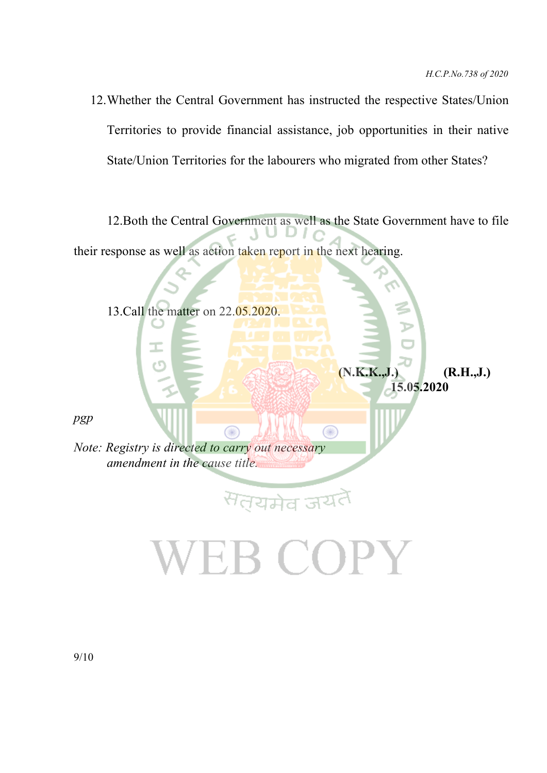**(N.K.K.,J.) (R.H.,J.) 15.05.2020**

12.Whether the Central Government has instructed the respective States/Union Territories to provide financial assistance, job opportunities in their native State/Union Territories for the labourers who migrated from other States?

12.Both the Central Government as well as the State Government have to file their response as well as action taken report in the next hearing.

 $\bigcirc$ 

13.Call the matter on 22.05.2020.

*pgp*

*Note: Registry is directed to carry out necessary amendment in the cause title.*

Œ

<sup>स</sup>तयमेव जय

EB COPY